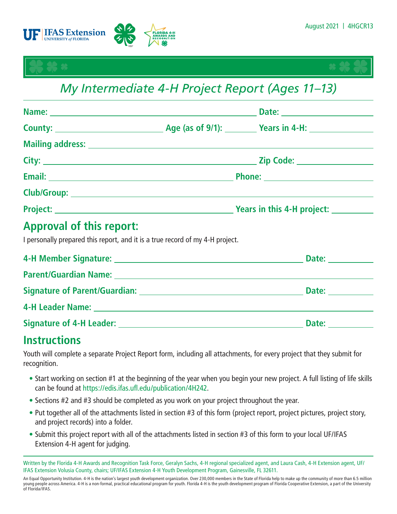



# *My Intermediate 4-H Project Report (Ages 11–13)*

|  |  | $\frac{1}{2}$ Years in this 4-H project: $\frac{1}{2}$ |
|--|--|--------------------------------------------------------|
|  |  |                                                        |

## **Approval of this report:**

I personally prepared this report, and it is a true record of my 4-H project.

|                                                                                                                                                                                                                                | Date: the contract of the contract of the contract of the contract of the contract of the contract of the contract of the contract of the contract of the contract of the contract of the contract of the contract of the cont |
|--------------------------------------------------------------------------------------------------------------------------------------------------------------------------------------------------------------------------------|--------------------------------------------------------------------------------------------------------------------------------------------------------------------------------------------------------------------------------|
| Parent/Guardian Name: Name and Second Contract of the Contract of the Contract of the Contract of the Contract of the Contract of the Contract of the Contract of the Contract of the Contract of the Contract of the Contract |                                                                                                                                                                                                                                |
| Signature of Parent/Guardian: New York Signature of Parent/Guardian:                                                                                                                                                           | Date:                                                                                                                                                                                                                          |
|                                                                                                                                                                                                                                |                                                                                                                                                                                                                                |
|                                                                                                                                                                                                                                | Date:                                                                                                                                                                                                                          |

## **Instructions**

Youth will complete a separate Project Report form, including all attachments, for every project that they submit for recognition.

- Start working on section #1 at the beginning of the year when you begin your new project. A full listing of life skills can be found at <https://edis.ifas.ufl.edu/publication/4H242>.
- Sections #2 and #3 should be completed as you work on your project throughout the year.
- Put together all of the attachments listed in section #3 of this form (project report, project pictures, project story, and project records) into a folder.
- Submit this project report with all of the attachments listed in section #3 of this form to your local UF/IFAS Extension 4-H agent for judging.

Written by the Florida 4-H Awards and Recognition Task Force, Geralyn Sachs, 4-H regional specialized agent, and Laura Cash, 4-H Extension agent, UF/ IFAS Extension Volusia County, chairs; UF/IFAS Extension 4-H Youth Development Program, Gainesville, FL 32611.

An Equal Opportunity Institution. 4-H is the nation's largest youth development organization. Over 230,000 members in the State of Florida help to make up the community of more than 6.5 million young people across America. 4-H is a non-formal, practical educational program for youth. Florida 4-H is the youth development program of Florida Cooperative Extension, a part of the University of Florida/IFAS.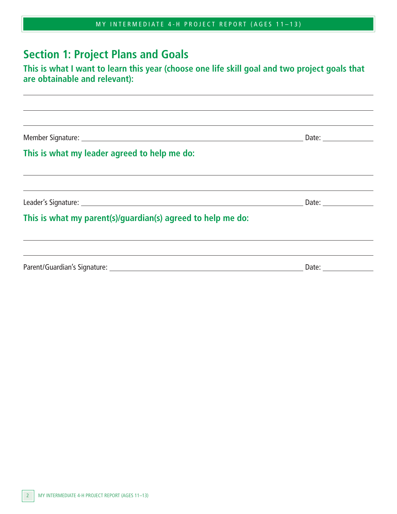|  | MY INTERMEDIATE 4-H PROJECT REPORT (AGES 11-13) |  |
|--|-------------------------------------------------|--|
|--|-------------------------------------------------|--|

## **Section 1: Project Plans and Goals**

#### **This is what I want to learn this year (choose one life skill goal and two project goals that are obtainable and relevant):**

Member Signature: Date:

 $\overline{a}$ 

 $\overline{a}$ 

 $\overline{a}$ 

#### **This is what my leader agreed to help me do:**

Leader's Signature: Date:

#### **This is what my parent(s)/guardian(s) agreed to help me do:**

| Parent/Guardian's Signature: | Date |  |
|------------------------------|------|--|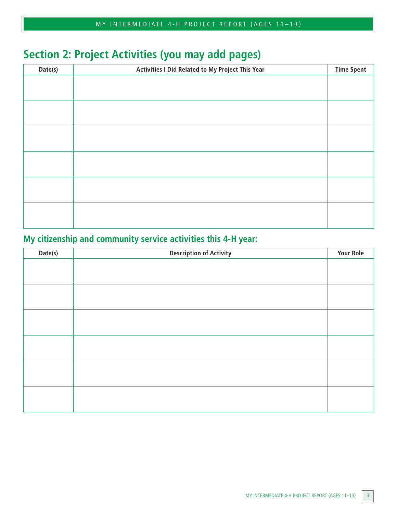# **Section 2: Project Activities (you may add pages)**

| Date(s) | Activities I Did Related to My Project This Year | <b>Time Spent</b> |
|---------|--------------------------------------------------|-------------------|
|         |                                                  |                   |
|         |                                                  |                   |
|         |                                                  |                   |
|         |                                                  |                   |
|         |                                                  |                   |
|         |                                                  |                   |
|         |                                                  |                   |
|         |                                                  |                   |
|         |                                                  |                   |
|         |                                                  |                   |
|         |                                                  |                   |
|         |                                                  |                   |

### **My citizenship and community service activities this 4-H year:**

| Date(s) | <b>Description of Activity</b> | <b>Your Role</b> |
|---------|--------------------------------|------------------|
|         |                                |                  |
|         |                                |                  |
|         |                                |                  |
|         |                                |                  |
|         |                                |                  |
|         |                                |                  |
|         |                                |                  |
|         |                                |                  |
|         |                                |                  |
|         |                                |                  |
|         |                                |                  |
|         |                                |                  |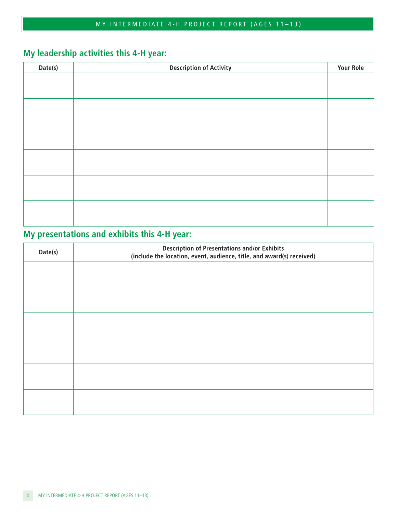### **My leadership activities this 4-H year:**

| Date(s)<br><b>Description of Activity</b><br><b>Your Role</b> |  |
|---------------------------------------------------------------|--|
|                                                               |  |
|                                                               |  |
|                                                               |  |
|                                                               |  |
|                                                               |  |
|                                                               |  |
|                                                               |  |
|                                                               |  |
|                                                               |  |
|                                                               |  |
|                                                               |  |
|                                                               |  |
|                                                               |  |
|                                                               |  |
|                                                               |  |

### **My presentations and exhibits this 4-H year:**

| Date(s) | <b>Description of Presentations and/or Exhibits</b><br>(include the location, event, audience, title, and award(s) received) |  |
|---------|------------------------------------------------------------------------------------------------------------------------------|--|
|         |                                                                                                                              |  |
|         |                                                                                                                              |  |
|         |                                                                                                                              |  |
|         |                                                                                                                              |  |
|         |                                                                                                                              |  |
|         |                                                                                                                              |  |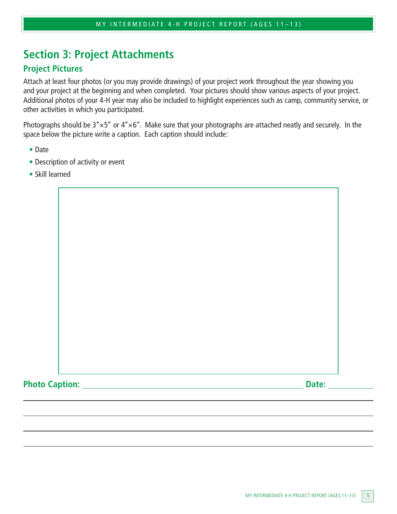## **Section 3: Project Attachments**

#### **Project Pictures**

Attach at least four photos (or you may provide drawings) of your project work throughout the year showing you and your project at the beginning and when completed. Your pictures should show various aspects of your project. Additional photos of your 4-H year may also be included to highlight experiences such as camp, community service, or other activities in which you participated.

Photographs should be  $3'' \times 5''$  or  $4'' \times 6''$ . Make sure that your photographs are attached neatly and securely. In the space below the picture write a caption. Each caption should include:

- Date
- Description of activity or event
- Skill learned

Photo Caption: <u>Date: **Date:** Date:</u> Date: **Date: Date: Date: Date: Date: Date: Date: Date: Date: Date: Date: Date: Date: Date: Date: Date: Date: Date: Date: Date: Date: Date: Da**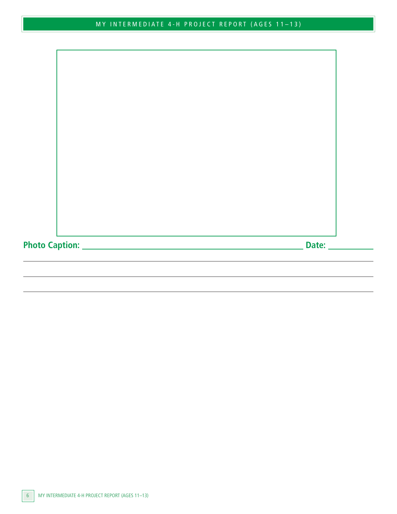**Photo Caption: Date:**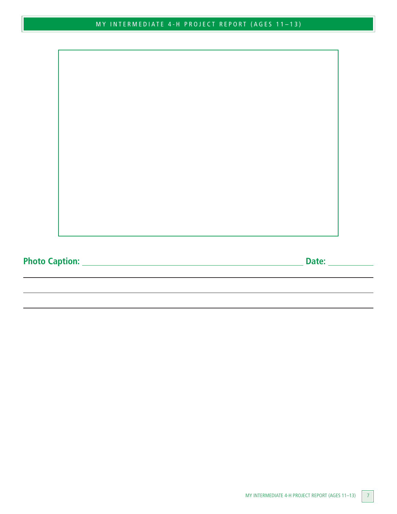**Photo Caption: Date:**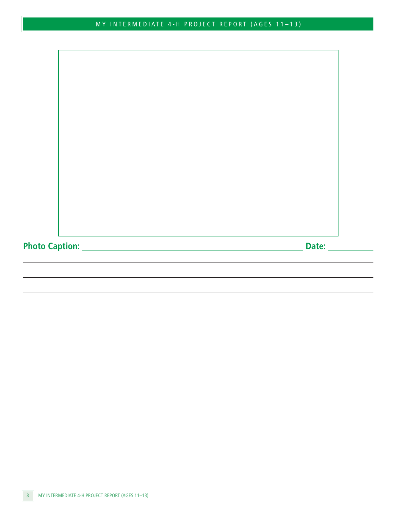**Photo Caption: Date:**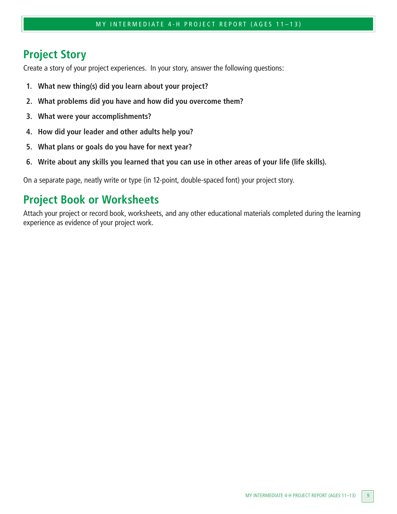## **Project Story**

Create a story of your project experiences. In your story, answer the following questions:

- **1. What new thing(s) did you learn about your project?**
- **2. What problems did you have and how did you overcome them?**
- **3. What were your accomplishments?**
- **4. How did your leader and other adults help you?**
- **5. What plans or goals do you have for next year?**
- **6. Write about any skills you learned that you can use in other areas of your life (life skills).**

On a separate page, neatly write or type (in 12-point, double-spaced font) your project story.

### **Project Book or Worksheets**

Attach your project or record book, worksheets, and any other educational materials completed during the learning experience as evidence of your project work.